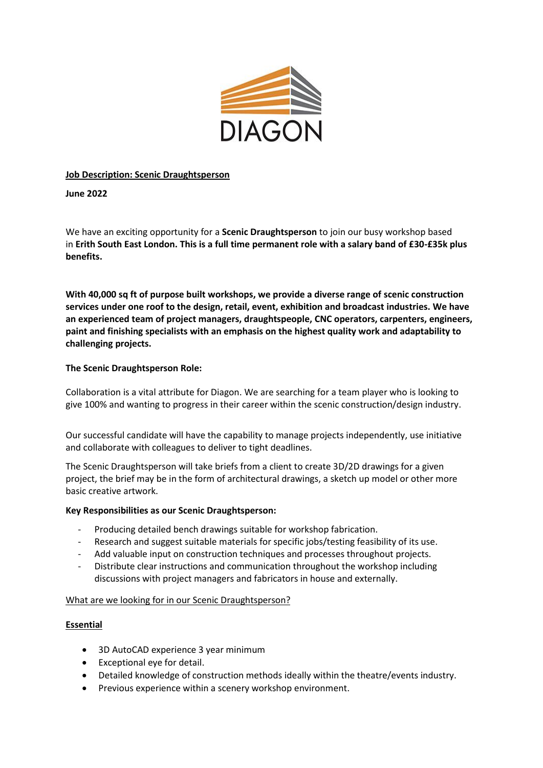

## **Job Description: Scenic Draughtsperson**

**June 2022**

We have an exciting opportunity for a **Scenic Draughtsperson** to join our busy workshop based in **Erith South East London. This is a full time permanent role with a salary band of £30-£35k plus benefits.**

**With 40,000 sq ft of purpose built workshops, we provide a diverse range of scenic construction services under one roof to the design, retail, event, exhibition and broadcast industries. We have an experienced team of project managers, draughtspeople, CNC operators, carpenters, engineers, paint and finishing specialists with an emphasis on the highest quality work and adaptability to challenging projects.** 

## **The Scenic Draughtsperson Role:**

Collaboration is a vital attribute for Diagon. We are searching for a team player who is looking to give 100% and wanting to progress in their career within the scenic construction/design industry.

Our successful candidate will have the capability to manage projects independently, use initiative and collaborate with colleagues to deliver to tight deadlines.

The Scenic Draughtsperson will take briefs from a client to create 3D/2D drawings for a given project, the brief may be in the form of architectural drawings, a sketch up model or other more basic creative artwork.

### **Key Responsibilities as our Scenic Draughtsperson:**

- Producing detailed bench drawings suitable for workshop fabrication.
- Research and suggest suitable materials for specific jobs/testing feasibility of its use.
- Add valuable input on construction techniques and processes throughout projects.
- Distribute clear instructions and communication throughout the workshop including discussions with project managers and fabricators in house and externally.

### What are we looking for in our Scenic Draughtsperson?

# **Essential**

- 3D AutoCAD experience 3 year minimum
- Exceptional eye for detail.
- Detailed knowledge of construction methods ideally within the theatre/events industry.
- Previous experience within a scenery workshop environment.